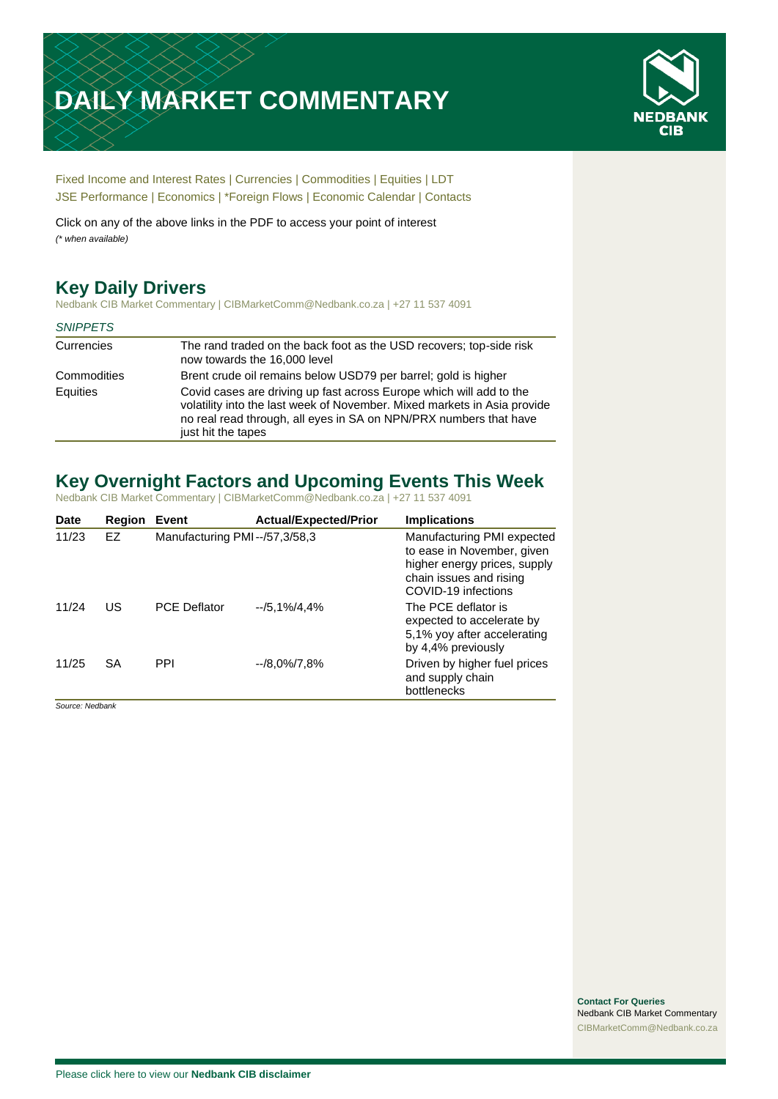# **DAILY MARKET COMMENTARY**



[Fixed Income and Interest Rates](#page-1-0) | [Currencies](#page-2-0) | [Commodities](#page-3-0) [| Equities](#page-4-0) | [LDT](#page-5-0) [JSE Performance](#page-6-0) [| Economics](#page-7-0) | \*Foreign Flows | [Economic Calendar](#page-7-0) | [Contacts](#page-8-0)

Click on any of the above links in the PDF to access your point of interest *(\* when available)*

# **Key Daily Drivers**

Nedbank CIB Market Commentary | CIBMarketComm@Nedbank.co.za | +27 11 537 4091

### *SNIPPETS*

| Currencies  | The rand traded on the back foot as the USD recovers; top-side risk<br>now towards the 16,000 level                                                                                                                                        |
|-------------|--------------------------------------------------------------------------------------------------------------------------------------------------------------------------------------------------------------------------------------------|
| Commodities | Brent crude oil remains below USD79 per barrel; gold is higher                                                                                                                                                                             |
| Equities    | Covid cases are driving up fast across Europe which will add to the<br>volatility into the last week of November. Mixed markets in Asia provide<br>no real read through, all eyes in SA on NPN/PRX numbers that have<br>just hit the tapes |

# **Key Overnight Factors and Upcoming Events This Week**

Nedbank CIB Market Commentary | CIBMarketComm@Nedbank.co.za | +27 11 537 4091

| Date  | Region | Event                         | <b>Actual/Expected/Prior</b> | <b>Implications</b>                                                                                                                        |
|-------|--------|-------------------------------|------------------------------|--------------------------------------------------------------------------------------------------------------------------------------------|
| 11/23 | EZ     | Manufacturing PMI--/57,3/58,3 |                              | Manufacturing PMI expected<br>to ease in November, given<br>higher energy prices, supply<br>chain issues and rising<br>COVID-19 infections |
| 11/24 | US     | <b>PCE Deflator</b>           | $-15,1\%/4,4\%$              | The PCE deflator is<br>expected to accelerate by<br>5,1% yoy after accelerating<br>by 4,4% previously                                      |
| 11/25 | SA     | <b>PPI</b>                    | $-18.0\%/7.8\%$              | Driven by higher fuel prices<br>and supply chain<br>bottlenecks                                                                            |

*Source: Nedbank*

**Contact For Queries** Nedbank CIB Market Commentary [CIBMarketComm@Nedbank.co.za](file:///C:/Users/Paul-Rose/AppData/Roaming/Bluecurve/templates/CIBMarketComm@Nedbank.co.za)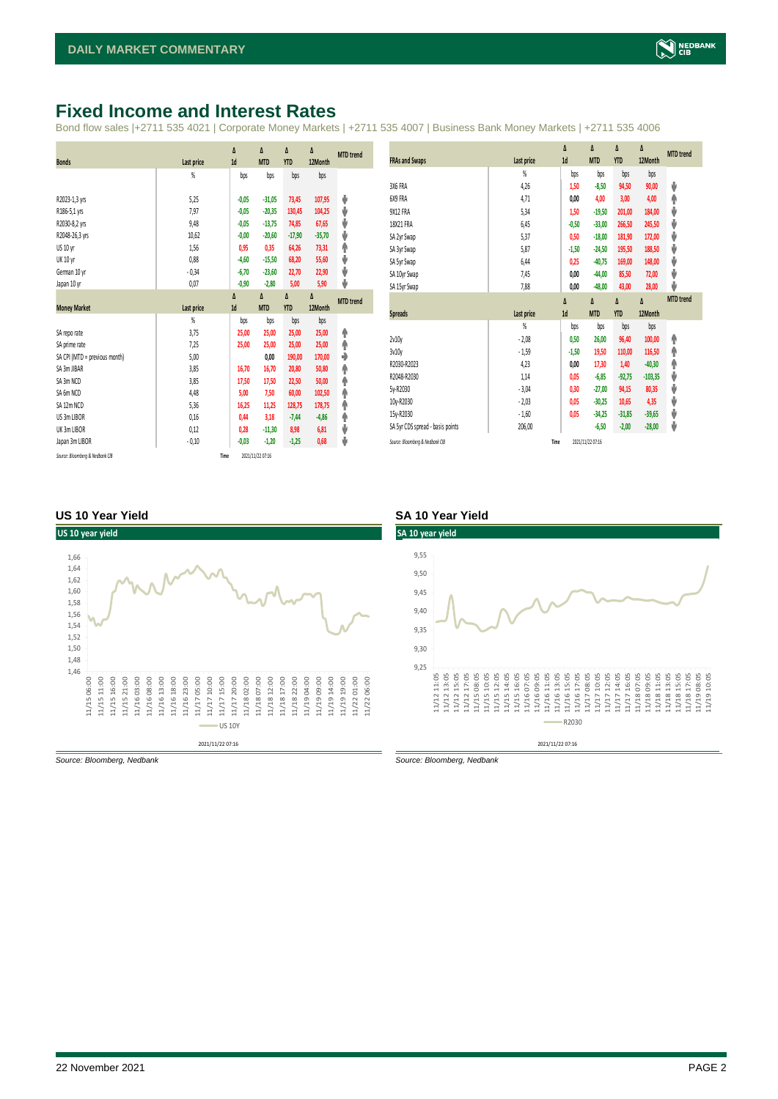# <span id="page-1-0"></span>**Fixed Income and Interest Rates**

Bond flow sales |+2711 535 4021 | Corporate Money Markets | +2711 535 4007 | Business Bank Money Markets | +2711 535 4006

|                               |                | Δ       | Δ          | Δ          | Δ        | <b>MTD</b> trend |
|-------------------------------|----------------|---------|------------|------------|----------|------------------|
| <b>Bonds</b>                  | Last price     | 1d      | <b>MTD</b> | <b>YTD</b> | 12Month  |                  |
|                               | %              | bps     | bps        | bps        | bps      |                  |
|                               |                |         |            |            |          |                  |
| R2023-1,3 yrs                 | 5,25           | $-0,05$ | $-31,05$   | 73,45      | 107,95   | ⊎                |
| R186-5,1 yrs                  | 7,97           | $-0,05$ | $-20,35$   | 130,45     | 104,25   | V                |
| R2030-8,2 yrs                 | 9,48           | $-0,05$ | $-13,75$   | 74,85      | 67,65    | V                |
| R2048-26,3 yrs                | 10,62          | $-0,00$ | $-20,60$   | $-17,90$   | $-35,70$ | V                |
| US 10 yr                      | 1,56           | 0,95    | 0,35       | 64,26      | 73,31    | φ                |
| <b>UK 10 yr</b>               | 0,88           | $-4,60$ | $-15,50$   | 68,20      | 55,60    | V                |
| German 10 yr                  | $-0,34$        | $-6,70$ | $-23,60$   | 22,70      | 22,90    | V                |
| Japan 10 yr                   | 0,07           | $-0,90$ | $-2,80$    | 5,00       | 5,90     | J                |
|                               |                | Δ       | Δ          | Δ          | Δ        | <b>MTD</b> trend |
| <b>Money Market</b>           | Last price     | 1d      | <b>MTD</b> | <b>YTD</b> | 12Month  |                  |
|                               | $\frac{9}{20}$ | bps     | bps        | bps        | bps      |                  |
| SA reporate                   | 3,75           | 25,00   | 25,00      | 25,00      | 25,00    | ٠                |
| SA prime rate                 | 7,25           | 25,00   | 25,00      | 25,00      | 25,00    | φ                |
| SA CPI (MTD = previous month) | 5,00           |         | 0,00       | 190,00     | 170,00   | ♦                |
| SA 3m JIBAR                   | 3,85           | 16,70   | 16,70      | 20,80      | 50,80    | φ                |
| SA 3m NCD                     | 3,85           | 17,50   | 17,50      | 22,50      | 50,00    | φ                |
| SA 6m NCD                     | 4,48           | 5,00    | 7,50       | 60,00      | 102,50   | φ                |
| SA 12m NCD                    | 5,36           | 16,25   | 11,25      | 128,75     | 178,75   | φ                |
| US 3m LIBOR                   | 0,16           | 0,44    | 3,18       | $-7,44$    | $-4,86$  | φ                |
|                               |                |         |            |            |          |                  |
| UK 3m LIBOR                   | 0,12           | 0,28    | $-11,30$   | 8,98       | 6,81     | V                |
| Japan 3m LIBOR                | $-0,10$        | $-0,03$ | $-1,20$    | $-1,25$    | 0,68     | J                |

|                                  |                | $\Delta$ | Δ          | Δ          | Δ         | <b>MTD</b> trend |
|----------------------------------|----------------|----------|------------|------------|-----------|------------------|
| <b>FRAs and Swaps</b>            | Last price     | 1d       | <b>MTD</b> | <b>YTD</b> | 12Month   |                  |
|                                  | $\frac{9}{20}$ | bps      | bps        | bps        | bps       |                  |
| 3X6 FRA                          | 4,26           | 1,50     | $-8,50$    | 94,50      | 90,00     | ψ                |
| 6X9 FRA                          | 4,71           | 0,00     | 4,00       | 3,00       | 4,00      | ۸                |
| 9X12 FRA                         | 5,34           | 1,50     | $-19,50$   | 201,00     | 184,00    | V                |
| 18X21 FRA                        | 6,45           | $-0,50$  | $-33,00$   | 266,50     | 245,50    | ψ                |
| SA 2yr Swap                      | 5,37           | 0,50     | $-18,00$   | 181,90     | 172,00    | ψ                |
| SA 3yr Swap                      | 5,87           | $-1,50$  | $-24,50$   | 195,50     | 188,50    | ψ                |
| SA 5yr Swap                      | 6,44           | 0,25     | $-40,75$   | 169,00     | 148,00    | ψ                |
| SA 10yr Swap                     | 7,45           | 0.00     | $-44,00$   | 85,50      | 72,00     | ψ                |
| SA 15yr Swap                     | 7,88           | 0,00     | $-48,00$   | 43,00      | 28,00     | v                |
|                                  |                | $\Delta$ | Δ          | $\Delta$   | Δ         | <b>MTD</b> trend |
|                                  |                |          |            |            |           |                  |
| <b>Spreads</b>                   | Last price     | 1d       | <b>MTD</b> | <b>YTD</b> | 12Month   |                  |
|                                  | $\frac{9}{20}$ | bps      | bps        | bps        | bps       |                  |
| 2v10y                            | $-2,08$        | 0,50     | 26,00      | 96,40      | 100,00    | ۸                |
| 3v10y                            | $-1,59$        | $-1,50$  | 19,50      | 110,00     | 116,50    | ۸                |
| R2030-R2023                      | 4,23           | 0,00     | 17,30      | 1,40       | $-40,30$  | ۸                |
| R2048-R2030                      | 1,14           | 0,05     | $-6,85$    | $-92,75$   | $-103,35$ | ψ                |
| 5y-R2030                         | $-3,04$        | 0,30     | $-27,00$   | 94,15      | 80,35     | ψ                |
| 10y-R2030                        | $-2,03$        | 0,05     | $-30,25$   | 10,65      | 4,35      | ψ                |
| 15y-R2030                        | $-1,60$        | 0,05     | $-34,25$   | $-31,85$   | $-39,65$  | ψ                |
| SA 5yr CDS spread - basis points | 206,00         |          | $-6,50$    | $-2,00$    | $-28,00$  | ψ                |

### **US 10 Year Yield SA 10 Year Yield**



*Source: Bloomberg, Nedbank Source: Bloomberg, Nedbank*

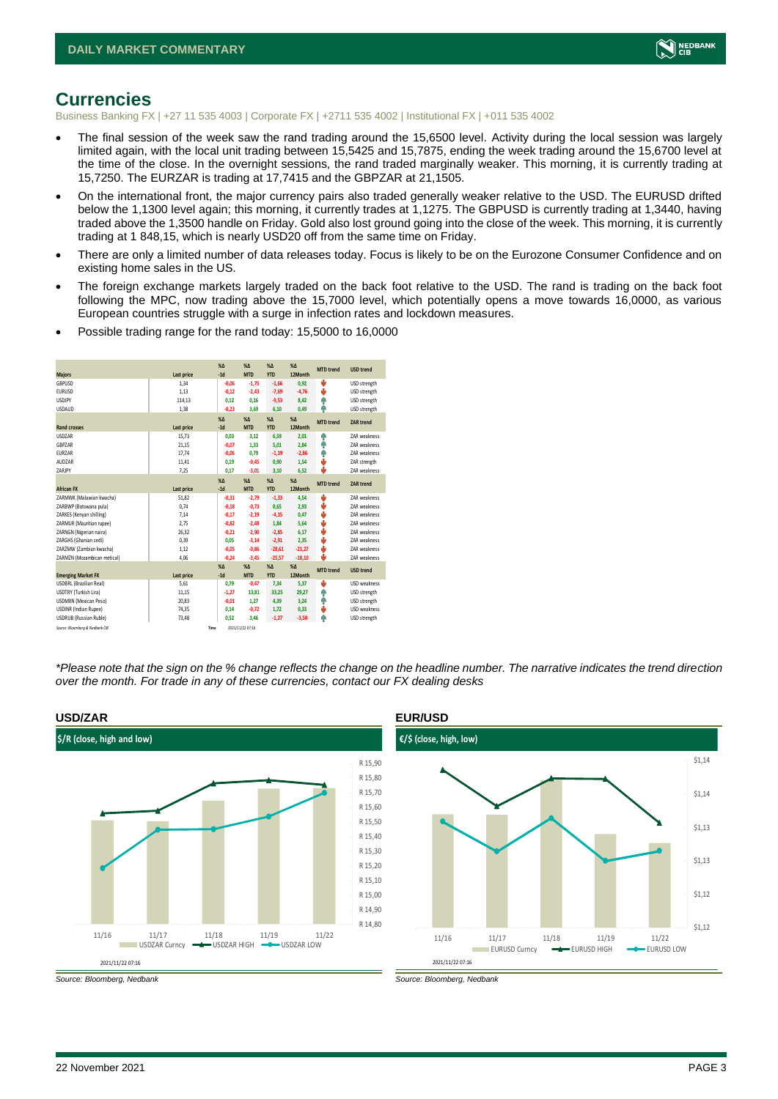

### <span id="page-2-0"></span>**Currencies**

Business Banking FX | +27 11 535 4003 | Corporate FX | +2711 535 4002 | Institutional FX | +011 535 4002

- The final session of the week saw the rand trading around the 15,6500 level. Activity during the local session was largely limited again, with the local unit trading between 15,5425 and 15,7875, ending the week trading around the 15,6700 level at the time of the close. In the overnight sessions, the rand traded marginally weaker. This morning, it is currently trading at 15,7250. The EURZAR is trading at 17,7415 and the GBPZAR at 21,1505.
- On the international front, the major currency pairs also traded generally weaker relative to the USD. The EURUSD drifted below the 1,1300 level again; this morning, it currently trades at 1,1275. The GBPUSD is currently trading at 1,3440, having traded above the 1,3500 handle on Friday. Gold also lost ground going into the close of the week. This morning, it is currently trading at 1 848,15, which is nearly USD20 off from the same time on Friday.
- There are only a limited number of data releases today. Focus is likely to be on the Eurozone Consumer Confidence and on existing home sales in the US.
- The foreign exchange markets largely traded on the back foot relative to the USD. The rand is trading on the back foot following the MPC, now trading above the 15,7000 level, which potentially opens a move towards 16,0000, as various European countries struggle with a surge in infection rates and lockdown measures.
- Possible trading range for the rand today: 15,5000 to 16,0000

| <b>Majors</b>                   | Last price | X <sub>A</sub><br>$-1d$ | X <sub>A</sub><br><b>MTD</b> | $%$ $\Lambda$<br><b>YTD</b> | %<br>12Month | <b>MTD</b> trend | <b>USD trend</b>    |
|---------------------------------|------------|-------------------------|------------------------------|-----------------------------|--------------|------------------|---------------------|
| GBPUSD                          | 1.34       | $-0,06$                 | $-1,75$                      | $-1,66$                     | 0,92         | b                | USD strength        |
| <b>EURUSD</b>                   | 1,13       | $-0,12$                 | $-2,43$                      | $-7,69$                     | $-4,76$      | s                | USD strength        |
| <b>LISDIPY</b>                  | 114,13     | 0,12                    | 0.16                         | $-9,53$                     | 8,42         | ÷                | USD strength        |
| <b>LISDAUD</b>                  | 1,38       | $-0,23$                 | 3,69                         | 6,10                        | 0,49         | ٨                | USD strength        |
|                                 |            | $\chi_{\Delta}$         | $\chi_{\Delta}$              | $% \Delta$                  | $% \Delta$   | <b>MTD</b> trend | ZAR trend           |
| <b>Rand crosses</b>             | Last price | $-1d$                   | <b>MTD</b>                   | <b>YTD</b>                  | 12Month      |                  |                     |
| <b>USDZAR</b>                   | 15,73      | 0,03                    | 3,12                         | 6,59                        | 2,01         | ٠                | <b>7AR</b> weakness |
| GBPZAR                          | 21,15      | $-0,07$                 | 1,33                         | 5,01                        | 2,84         | ۸                | <b>7AR</b> weakness |
| EURZAR                          | 17,74      | $-0,06$                 | 0.79                         | $-1,19$                     | $-2,86$      | ۸                | <b>7AR</b> weakness |
| AUDZAR                          | 11,41      | 0,19                    | $-0,45$                      | 0,90                        | 1,54         | ÷                | ZAR strength        |
| ZARJPY                          | 7,25       | 0,17                    | $-3,01$                      | 3,10                        | 6,52         | s                | <b>7AR</b> weakness |
|                                 |            | X <sub>A</sub>          | X <sub>A</sub>               | $\%$ $\Lambda$              | %            | <b>MTD</b> trend | <b>ZAR trend</b>    |
| <b>African FX</b>               | Last price | $-1d$                   | <b>MTD</b>                   | <b>YTD</b>                  | 12Month      |                  |                     |
| ZARMWK (Malawian kwacha)        | 51.82      | $-0.31$                 | $-2.79$                      | $-1,33$                     | 4,54         | ė                | <b>7AR</b> weakness |
| ZARBWP (Botswana pula)          | 0.74       | $-0,18$                 | $-0,73$                      | 0,65                        | 2,93         | v                | ZAR weakness        |
| ZARKES (Kenyan shilling)        | 7.14       | $-0.17$                 | $-2.19$                      | $-4,15$                     | 0.47         | v                | ZAR weakness        |
| ZARMUR (Mauritian rupee)        | 2,75       | $-0.82$                 | $-2,48$                      | 1,84                        | 5,64         | ÷                | <b>7AR</b> weakness |
| ZARNGN (Nigerian naira)         | 26,32      | $-0.21$                 | $-2.90$                      | $-2,85$                     | 6,17         | J                | <b>7AR</b> weakness |
| ZARGHS (Ghanian cedi)           | 0.39       | 0.05                    | $-3,14$                      | $-2,91$                     | 2.35         | ė                | ZAR weakness        |
| ZARZMW (Zambian kwacha)         | 1.12       | $-0.05$                 | $-0,86$                      | $-28,61$                    | $-21,27$     | ė                | <b>7AR</b> weakness |
| ZARMZN (Mozambican metical)     | 4,06       | $-0.24$                 | $-3,45$                      | $-25.57$                    | $-18,10$     | s                | ZAR weakness        |
|                                 |            | $\chi_{\Delta}$         | $\chi_{\Delta}$              | $% \Delta$                  | $% \Delta$   | <b>MTD</b> trend | <b>USD trend</b>    |
| <b>Emerging Market FX</b>       | Last price | $-1d$                   | <b>MTD</b>                   | <b>YTD</b>                  | 12Month      |                  |                     |
| <b>USDBRL (Brazilian Real)</b>  | 5,61       | 0.79                    | $-0,47$                      | 7,34                        | 5,37         | ė                | USD weakness        |
| USDTRY (Turkish Lira)           | 11,15      | $-1.27$                 | 13,81                        | 33,25                       | 29,27        | ٠                | USD strength        |
| USDMXN (Mexican Peso)           | 20,83      | $-0,01$                 | 1,27                         | 4,39                        | 3,24         | ۸                | USD strength        |
| <b>USDINR (Indian Rupee)</b>    | 74,35      | 0.14                    | $-0.72$                      | 1,72                        | 0,33         | ė                | USD weakness        |
| <b>USDRUB</b> (Russian Ruble)   | 73,48      | 0,52                    | 3,46                         | $-1,27$                     | $-3,50$      | ۸                | USD strength        |
| Source: Bloomberg & Nedbank CIB | Time       |                         | 2021/11/22 07:16             |                             |              |                  |                     |

*\*Please note that the sign on the % change reflects the change on the headline number. The narrative indicates the trend direction over the month. For trade in any of these currencies, contact our FX dealing desks*



### 22 November 2021 PAGE 3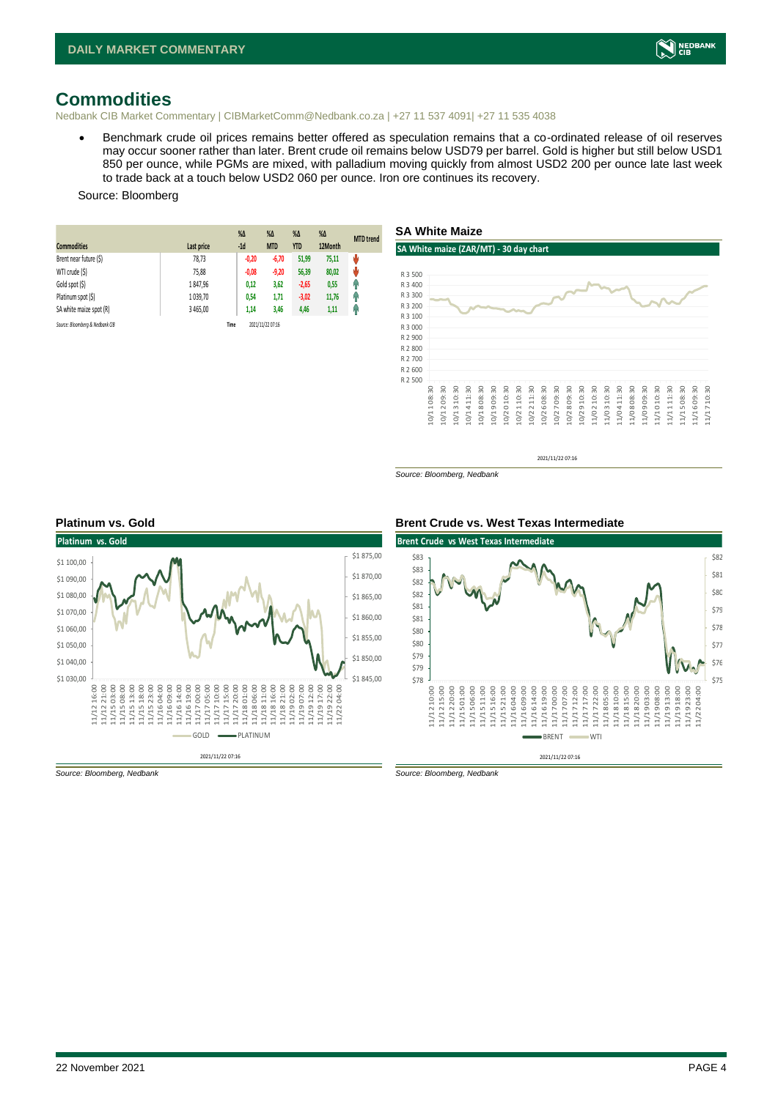

### <span id="page-3-0"></span>**Commodities**

Nedbank CIB Market Commentary | CIBMarketComm@Nedbank.co.za | +27 11 537 4091| +27 11 535 4038

• Benchmark crude oil prices remains better offered as speculation remains that a co-ordinated release of oil reserves may occur sooner rather than later. Brent crude oil remains below USD79 per barrel. Gold is higher but still below USD1 850 per ounce, while PGMs are mixed, with palladium moving quickly from almost USD2 200 per ounce late last week to trade back at a touch below USD2 060 per ounce. Iron ore continues its recovery.

### Source: Bloomberg

| <b>Commodities</b>              | Last price | $%$ $\Delta$<br>$-1d$ | %Δ<br><b>MTD</b> | $%$ $\Delta$<br><b>YTD</b> | $%$ $\Delta$<br>12Month | <b>MTD</b> trend |
|---------------------------------|------------|-----------------------|------------------|----------------------------|-------------------------|------------------|
| Brent near future (\$)          | 78,73      | $-0,20$               | $-6,70$          | 51,99                      | 75,11                   | Ů                |
| WTI crude (\$)                  | 75,88      | $-0.08$               | $-9,20$          | 56,39                      | 80,02                   | U                |
| Gold spot (\$)                  | 1847,96    | 0,12                  | 3,62             | $-2,65$                    | 0,55                    | q,               |
| Platinum spot (\$)              | 1 039,70   | 0,54                  | 1,71             | $-3,02$                    | 11,76                   | Ĥ                |
| SA white maize spot (R)         | 3 465.00   | 1,14                  | 3,46             | 4,46                       | 1,11                    | f                |
| Source: Bloomberg & Nedbank CIB |            | Time                  | 2021/11/22 07:16 |                            |                         |                  |



*Source: Bloomberg, Nedbank*





*Source: Bloomberg, Nedbank Source: Bloomberg, Nedbank*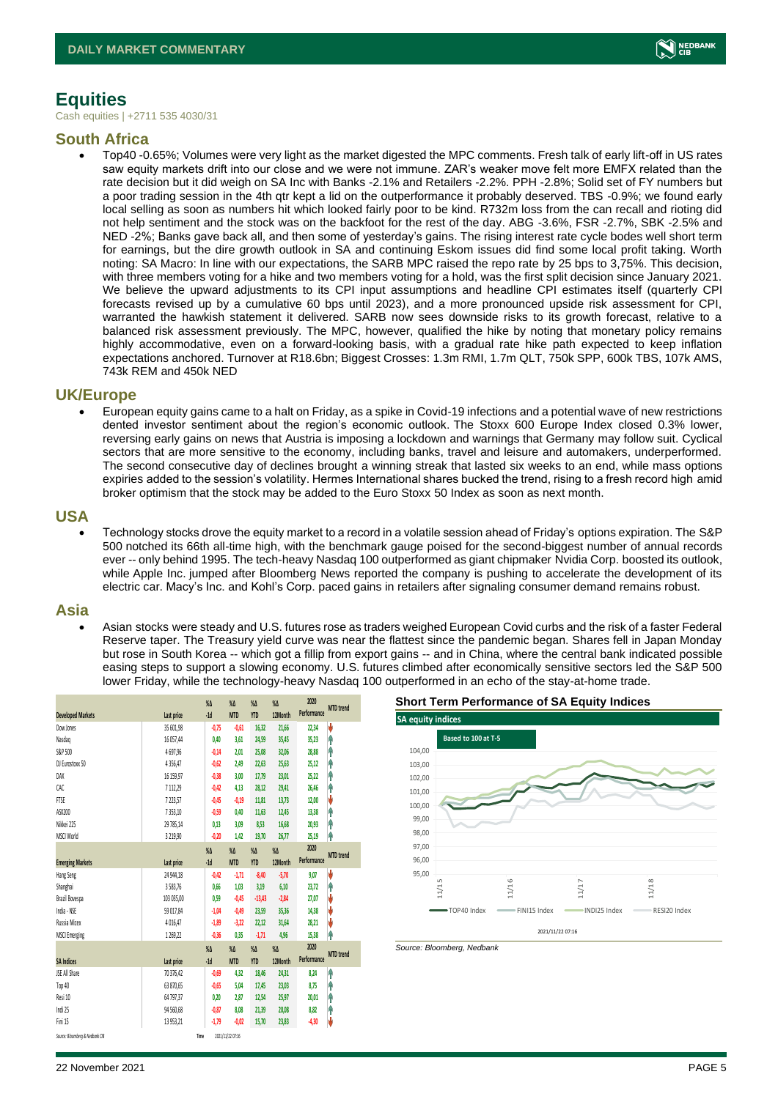

# <span id="page-4-0"></span>**Equities**

Cash equities | +2711 535 4030/31

### **South Africa**

• Top40 -0.65%; Volumes were very light as the market digested the MPC comments. Fresh talk of early lift-off in US rates saw equity markets drift into our close and we were not immune. ZAR's weaker move felt more EMFX related than the rate decision but it did weigh on SA Inc with Banks -2.1% and Retailers -2.2%. PPH -2.8%; Solid set of FY numbers but a poor trading session in the 4th qtr kept a lid on the outperformance it probably deserved. TBS -0.9%; we found early local selling as soon as numbers hit which looked fairly poor to be kind. R732m loss from the can recall and rioting did not help sentiment and the stock was on the backfoot for the rest of the day. ABG -3.6%, FSR -2.7%, SBK -2.5% and NED -2%; Banks gave back all, and then some of yesterday's gains. The rising interest rate cycle bodes well short term for earnings, but the dire growth outlook in SA and continuing Eskom issues did find some local profit taking. Worth noting: SA Macro: In line with our expectations, the SARB MPC raised the repo rate by 25 bps to 3,75%. This decision, with three members voting for a hike and two members voting for a hold, was the first split decision since January 2021. We believe the upward adjustments to its CPI input assumptions and headline CPI estimates itself (quarterly CPI forecasts revised up by a cumulative 60 bps until 2023), and a more pronounced upside risk assessment for CPI, warranted the hawkish statement it delivered. SARB now sees downside risks to its growth forecast, relative to a balanced risk assessment previously. The MPC, however, qualified the hike by noting that monetary policy remains highly accommodative, even on a forward-looking basis, with a gradual rate hike path expected to keep inflation expectations anchored. Turnover at R18.6bn; Biggest Crosses: 1.3m RMI, 1.7m QLT, 750k SPP, 600k TBS, 107k AMS, 743k REM and 450k NED

### **UK/Europe**

• European equity gains came to a halt on Friday, as a spike in Covid-19 infections and a potential wave of new restrictions dented investor sentiment about the region's economic outlook. The Stoxx 600 Europe Index closed 0.3% lower, reversing early gains on news that Austria is imposing a lockdown and warnings that Germany may follow suit. Cyclical sectors that are more sensitive to the economy, including banks, travel and leisure and automakers, underperformed. The second consecutive day of declines brought a winning streak that lasted six weeks to an end, while mass options expiries added to the session's volatility. Hermes International shares bucked the trend, rising to a fresh record high amid broker optimism that the stock may be added to the Euro Stoxx 50 Index as soon as next month.

### **USA**

• Technology stocks drove the equity market to a record in a volatile session ahead of Friday's options expiration. The S&P 500 notched its 66th all-time high, with the benchmark gauge poised for the second-biggest number of annual records ever -- only behind 1995. The tech-heavy Nasdaq 100 outperformed as giant chipmaker Nvidia Corp. boosted its outlook, while Apple Inc. jumped after Bloomberg News reported the company is pushing to accelerate the development of its electric car. Macy's Inc. and Kohl's Corp. paced gains in retailers after signaling consumer demand remains robust.

### **Asia**

• Asian stocks were steady and U.S. futures rose as traders weighed European Covid curbs and the risk of a faster Federal Reserve taper. The Treasury yield curve was near the flattest since the pandemic began. Shares fell in Japan Monday but rose in South Korea -- which got a fillip from export gains -- and in China, where the central bank indicated possible easing steps to support a slowing economy. U.S. futures climbed after economically sensitive sectors led the S&P 500 lower Friday, while the technology-heavy Nasdaq 100 outperformed in an echo of the stay-at-home trade.

|                                 |              | %Δ      | $\%$ $\Delta$    | %Δ         | $%$ $\Delta$ | 2020        |                  |
|---------------------------------|--------------|---------|------------------|------------|--------------|-------------|------------------|
| <b>Developed Markets</b>        | Last price   | $-1d$   | <b>MTD</b>       | <b>YTD</b> | 12Month      | Performance | <b>MTD</b> trend |
| Dow Jones                       | 35 601,98    | $-0,75$ | $-0.61$          | 16,32      | 21,66        | 22,34       | ł                |
| Nasdaq                          | 16 057,44    | 0,40    | 3,61             | 24,59      | 35,45        | 35,23       | f                |
| S&P 500                         | 4697,96      | $-0.14$ | 2,01             | 25,08      | 32,06        | 28,88       | ٩                |
| DJ Eurostoxx 50                 | 4 3 5 6, 4 7 | $-0,62$ | 2,49             | 22,63      | 25,63        | 25,12       | ٩                |
| DAX                             | 16 159,97    | $-0,38$ | 3,00             | 17,79      | 23,01        | 25,22       | ŧ                |
| CAC                             | 7 112.29     | $-0,42$ | 4.13             | 28,12      | 29.41        | 26,46       | ۸                |
| FTSE                            | 7 223,57     | $-0.45$ | $-0.19$          | 11,81      | 13,73        | 12,00       | ł                |
| ASX200                          | 7 353,10     | $-0,59$ | 0,40             | 11,63      | 12,45        | 13,38       | f                |
| Nikkei 225                      | 29 785,14    | 0,13    | 3,09             | 8,53       | 16,68        | 20,93       | ٩                |
| MSCI World                      | 3 2 19,90    | $-0,20$ | 1,42             | 19,70      | 26,77        | 25,19       |                  |
|                                 |              | %Δ      | $\%$ $\Delta$    | %Δ         | $%$ $\Delta$ | 2020        |                  |
| <b>Emerging Markets</b>         | Last price   | $-1d$   | <b>MTD</b>       | <b>YTD</b> | 12Month      | Performance | <b>MTD</b> trend |
| Hang Seng                       | 24 944,18    | $-0.42$ | $-1,71$          | $-8,40$    | $-5,70$      | 9,07        | ł                |
| Shanghai                        | 3583,76      | 0,66    | 1,03             | 3,19       | 6,10         | 23,72       | Ĥ                |
| Brazil Bovespa                  | 103 035,00   | 0,59    | $-0.45$          | $-13,43$   | $-2,84$      | 27,07       | ł                |
| India - NSE                     | 59 017,84    | $-1,04$ | $-0.49$          | 23,59      | 35,36        | 14,38       | J                |
| Russia Micex                    | 4 0 16,47    | $-1,89$ | $-3,22$          | 22,12      | 31,64        | 28,21       | ł                |
| <b>MSCI Emerging</b>            | 1 269,22     | $-0,36$ | 0,35             | $-1,71$    | 4,96         | 15,38       | ۸                |
|                                 |              | %Δ      | %Δ               | %Δ         | %Δ           | 2020        | <b>MTD</b> trend |
| <b>SA Indices</b>               | Last price   | $-1d$   | <b>MTD</b>       | <b>YTD</b> | 12Month      | Performance |                  |
| JSE All Share                   | 70 376,42    | $-0,69$ | 4,32             | 18,46      | 24,31        | 8,24        | ۸                |
| Top 40                          | 63 870,65    | $-0,65$ | 5,04             | 17,45      | 23,03        | 8,75        | Ĥ                |
| Resi 10                         | 64 797,37    | 0,20    | 2,87             | 12,54      | 25,97        | 20,01       | ŧ                |
| Indi 25                         | 94 560,68    | $-0,87$ | 8,08             | 21,39      | 20,08        | 8,82        | Ĥ                |
| Fini 15                         | 13 953,21    | $-1,79$ | $-0.02$          | 15,70      | 23,83        | $-4,30$     | J                |
| Source: Bloomberg & Nedbank CIB |              | Time    | 2021/11/22 07:16 |            |              |             |                  |





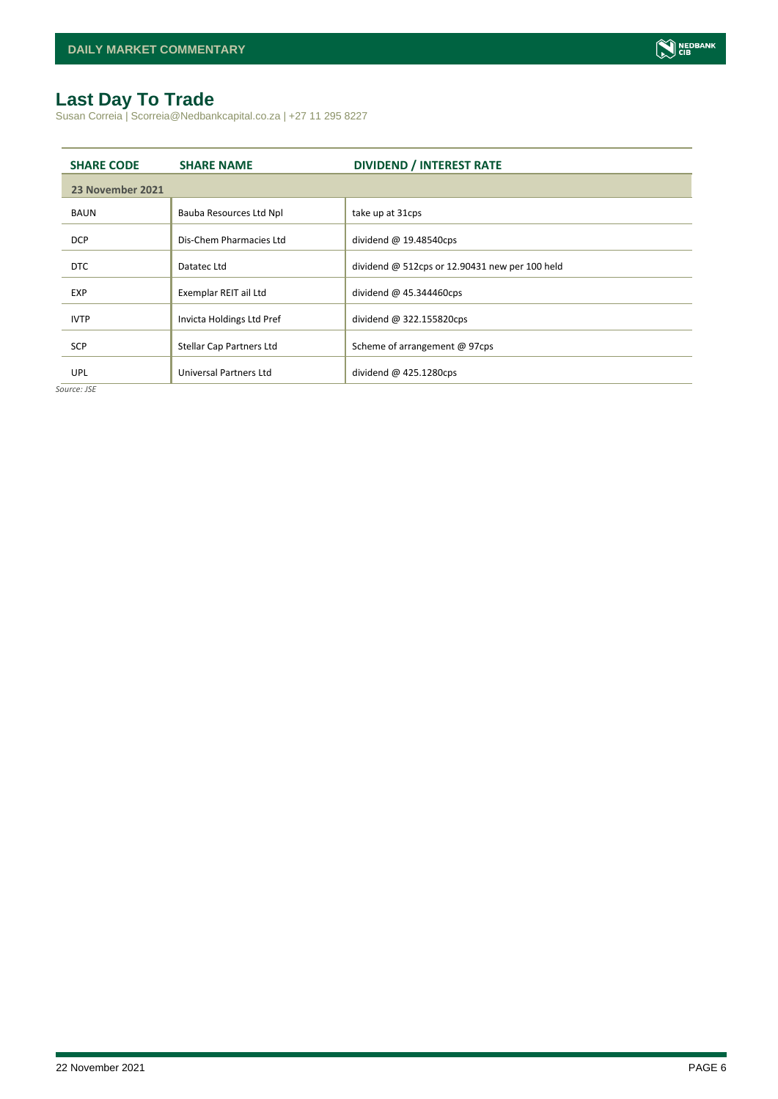# <span id="page-5-0"></span>**Last Day To Trade**

Susan Correia | Scorreia@Nedbankcapital.co.za | +27 11 295 8227

| <b>SHARE CODE</b> | <b>SHARE NAME</b>         | <b>DIVIDEND / INTEREST RATE</b>                  |
|-------------------|---------------------------|--------------------------------------------------|
| 23 November 2021  |                           |                                                  |
| <b>BAUN</b>       | Bauba Resources Ltd Npl   | take up at 31cps                                 |
| <b>DCP</b>        | Dis-Chem Pharmacies Ltd   | dividend $@$ 19.48540cps                         |
| <b>DTC</b>        | Datatec Ltd               | dividend $@$ 512cps or 12.90431 new per 100 held |
| <b>EXP</b>        | Exemplar REIT ail Ltd     | dividend $\omega$ 45.344460cps                   |
| <b>IVTP</b>       | Invicta Holdings Ltd Pref | dividend @ 322.155820cps                         |
| <b>SCP</b>        | Stellar Cap Partners Ltd  | Scheme of arrangement @ 97cps                    |
| <b>UPL</b>        | Universal Partners Ltd    | dividend $@$ 425.1280cps                         |

*Source: JSE*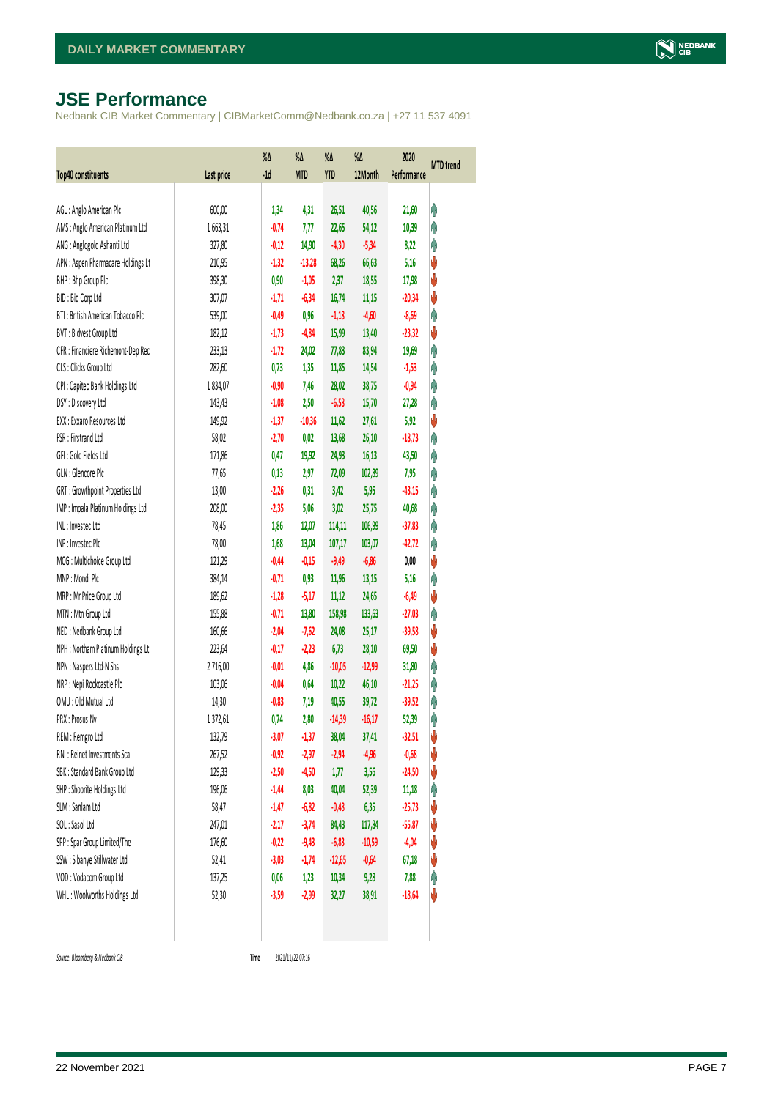# <span id="page-6-0"></span>**JSE Performance**

Nedbank CIB Market Commentary | CIBMarketComm@Nedbank.co.za | +27 11 537 4091

| <b>Top40 constituents</b>          | Last price | %Δ<br>$-1d$ | %Δ<br><b>MTD</b> | %Δ<br><b>YTD</b> | %Δ<br>12Month | 2020<br>Performance | <b>MTD</b> trend |
|------------------------------------|------------|-------------|------------------|------------------|---------------|---------------------|------------------|
|                                    |            |             |                  |                  |               |                     |                  |
| AGL: Anglo American Plc            | 600,00     | 1,34        | 4,31             | 26,51            | 40,56         | 21,60               | φ                |
| AMS: Anglo American Platinum Ltd   | 1663,31    | $-0,74$     | 1,11             | 22,65            | 54,12         | 10,39               | φ                |
| ANG: Anglogold Ashanti Ltd         | 327,80     | $-0,12$     | 14,90            | $-4,30$          | $-5,34$       | 8,22                | φ                |
| APN : Aspen Pharmacare Holdings Lt | 210,95     | $-1,32$     | $-13,28$         | 68,26            | 66,63         | 5,16                | V                |
| BHP: Bhp Group Plc                 | 398,30     | 0,90        | $-1,05$          | 2,37             | 18,55         | 17,98               | V                |
| BID: Bid Corp Ltd                  | 307,07     | $-1,71$     | $-6,34$          | 16,74            | 11,15         | $-20,34$            | ψ                |
| BTI: British American Tobacco Plc  | 539,00     | $-0,49$     | 0,96             | $-1,18$          | $-4,60$       | $-8,69$             | φ                |
| BVT: Bidvest Group Ltd             | 182,12     | $-1,73$     | $-4,84$          | 15,99            | 13,40         | $-23,32$            | V                |
| CFR : Financiere Richemont-Dep Rec | 233,13     | $-1, 72$    | 24,02            | 77,83            | 83,94         | 19,69               | Ą                |
| CLS : Clicks Group Ltd             | 282,60     | 0,73        | 1,35             | 11,85            | 14,54         | $-1,53$             | φ                |
| CPI : Capitec Bank Holdings Ltd    | 1834,07    | $-0,90$     | 7,46             | 28,02            | 38,75         | $-0,94$             | φ                |
| DSY: Discovery Ltd                 | 143,43     | $-1,08$     | 2,50             | $-6,58$          | 15,70         | 27,28               | φ                |
| EXX: Exxaro Resources Ltd          | 149,92     | $-1,37$     | $-10,36$         | 11,62            | 27,61         | 5,92                | ψ                |
| FSR: Firstrand Ltd                 | 58,02      | $-2,70$     | 0,02             | 13,68            | 26,10         | $-18,73$            | φ                |
| GFI: Gold Fields Ltd               | 171,86     | 0,47        | 19,92            | 24,93            | 16,13         | 43,50               | φ                |
| GLN : Glencore Plc                 | 77,65      | 0,13        | 2,97             | 72,09            | 102,89        | 7,95                | φ                |
| GRT : Growthpoint Properties Ltd   | 13,00      | $-2,26$     | 0,31             | 3,42             | 5,95          | $-43,15$            | φ                |
| IMP : Impala Platinum Holdings Ltd | 208,00     | $-2,35$     | 5,06             | 3,02             | 25,75         | 40,68               | φ                |
| INL: Investec Ltd                  | 78,45      | 1,86        | 12,07            | 114,11           | 106,99        | $-37,83$            | Λ                |
| INP: Invested Plc                  | 78,00      | 1,68        | 13,04            | 107,17           | 103,07        | $-42,72$            | φ                |
| MCG: Multichoice Group Ltd         | 121,29     | $-0,44$     | $-0,15$          | $-9,49$          | $-6,86$       | 0,00                | ψ                |
| MNP: Mondi Plc                     | 384,14     | $-0,71$     | 0,93             | 11,96            | 13,15         | 5,16                | φ                |
| MRP : Mr Price Group Ltd           | 189,62     | $-1,28$     | $-5,17$          | 11,12            | 24,65         | $-6,49$             | ψ                |
| MTN: Mtn Group Ltd                 | 155,88     | $-0,71$     | 13,80            | 158,98           | 133,63        | $-27,03$            | φ                |
| NED : Nedbank Group Ltd            | 160,66     | $-2,04$     | $-7,62$          | 24,08            | 25,17         | $-39,58$            | ψ                |
| NPH : Northam Platinum Holdings Lt | 223,64     | $-0,17$     | $-2,23$          | 6,73             | 28,10         | 69,50               | ψ                |
| NPN : Naspers Ltd-N Shs            | 2716,00    | $-0,01$     | 4,86             | $-10,05$         | $-12,99$      | 31,80               | φ                |
| NRP : Nepi Rockcastle Plc          | 103,06     | $-0,04$     | 0,64             | 10,22            | 46,10         | $-21,25$            | φ                |
| OMU: Old Mutual Ltd                | 14,30      | $-0,83$     | 7,19             | 40,55            | 39,72         | $-39,52$            | Λ                |
| PRX: Prosus Nv                     | 1372,61    | 0,74        | 2,80             | $-14,39$         | $-16,17$      | 52,39               | φ                |
| REM : Remgro Ltd                   | 132,79     | $-3,07$     | $-1,37$          | 38,04            | 37,41         | $-32,51$            | V                |
| RNI : Reinet Investments Sca       | 267,52     | $-0,92$     | $-2,97$          | $-2,94$          | $-4,96$       | $-0,68$             | ♦                |
| SBK: Standard Bank Group Ltd       | 129,33     | $-2,50$     | $-4,50$          | 1,77             | 3,56          | $-24,50$            | ψ                |
| SHP: Shoprite Holdings Ltd         | 196,06     | $-1,44$     | 8,03             | 40,04            | 52,39         | 11,18               | φ                |
| SLM : Sanlam Ltd                   | 58,47      | $-1,47$     | $-6,82$          | $-0,48$          | 6,35          | $-25,73$            | ψ                |
| SOL: Sasol Ltd                     | 247,01     | $-2,17$     | $-3,74$          | 84,43            | 117,84        | $-55,87$            | ψ                |
| SPP: Spar Group Limited/The        | 176,60     | $-0,22$     | $-9,43$          | $-6,83$          | $-10,59$      | $-4,04$             | ψ                |
| SSW : Sibanye Stillwater Ltd       | 52,41      | $-3,03$     | $-1,74$          | $-12,65$         | $-0,64$       | 67,18               | ψ                |
| VOD: Vodacom Group Ltd             | 137,25     | 0,06        | 1,23             | 10,34            | 9,28          | 7,88                | Ĥ                |
| WHL: Woolworths Holdings Ltd       | 52,30      | $-3,59$     | $-2,99$          | 32,27            | 38,91         | $-18,64$            | V                |
|                                    |            |             |                  |                  |               |                     |                  |

 $Source: Bloomberg & Nedbank *CB*$ 

Time 2021/11/22 07:16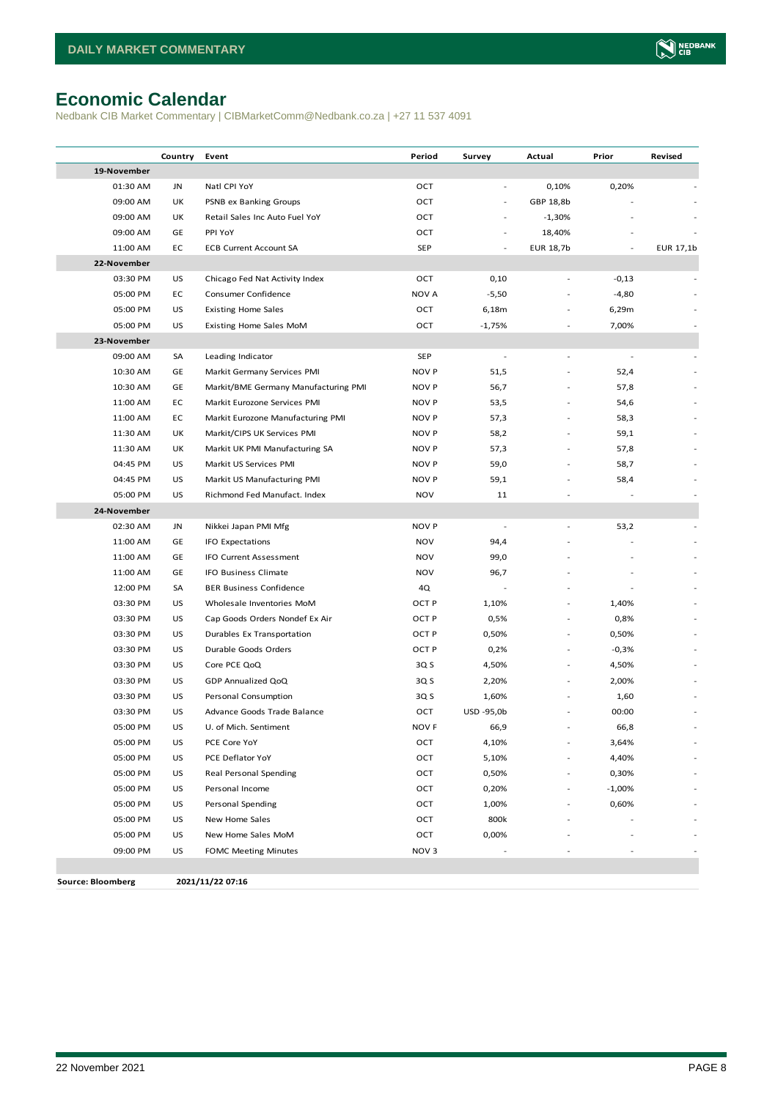# <span id="page-7-0"></span>**Economic Calendar**

Nedbank CIB Market Commentary | CIBMarketComm@Nedbank.co.za | +27 11 537 4091

|                          | Country   | Event                                | Period           | Survey                   | Actual    | Prior                    | Revised   |
|--------------------------|-----------|--------------------------------------|------------------|--------------------------|-----------|--------------------------|-----------|
| 19-November              |           |                                      |                  |                          |           |                          |           |
| 01:30 AM                 | JN        | Natl CPI YoY                         | OCT              | $\overline{\phantom{a}}$ | 0,10%     | 0,20%                    |           |
| 09:00 AM                 | UK        | PSNB ex Banking Groups               | OCT              | $\blacksquare$           | GBP 18,8b |                          |           |
| 09:00 AM                 | UK        | Retail Sales Inc Auto Fuel YoY       | OCT              |                          | $-1,30%$  |                          |           |
| 09:00 AM                 | GE        | PPI YoY                              | OCT              |                          | 18,40%    |                          |           |
| 11:00 AM                 | EC        | <b>ECB Current Account SA</b>        | <b>SEP</b>       |                          | EUR 18,7b | $\overline{\phantom{a}}$ | EUR 17,1b |
| 22-November              |           |                                      |                  |                          |           |                          |           |
| 03:30 PM                 | US        | Chicago Fed Nat Activity Index       | OCT              | 0,10                     |           | $-0,13$                  |           |
| 05:00 PM                 | EC        | Consumer Confidence                  | NOV A            | $-5,50$                  |           | $-4,80$                  |           |
| 05:00 PM                 | US        | <b>Existing Home Sales</b>           | OCT              | 6,18m                    |           | 6,29m                    |           |
| 05:00 PM                 | US        | Existing Home Sales MoM              | OCT              | $-1,75%$                 |           | 7,00%                    |           |
| 23-November              |           |                                      |                  |                          |           |                          |           |
| 09:00 AM                 | SA        | Leading Indicator                    | <b>SEP</b>       | $\overline{\phantom{a}}$ |           |                          |           |
| 10:30 AM                 | GE        | Markit Germany Services PMI          | <b>NOV P</b>     | 51,5                     |           | 52,4                     |           |
| 10:30 AM                 | GE        | Markit/BME Germany Manufacturing PMI | <b>NOV P</b>     | 56,7                     |           | 57,8                     |           |
| 11:00 AM                 | EC        | Markit Eurozone Services PMI         | <b>NOV P</b>     | 53,5                     |           | 54,6                     |           |
| 11:00 AM                 | EC        | Markit Eurozone Manufacturing PMI    | <b>NOV P</b>     | 57,3                     |           | 58,3                     |           |
| 11:30 AM                 | UK        | Markit/CIPS UK Services PMI          | <b>NOV P</b>     | 58,2                     |           | 59,1                     |           |
| 11:30 AM                 | UK        | Markit UK PMI Manufacturing SA       | <b>NOV P</b>     | 57,3                     |           | 57,8                     |           |
| 04:45 PM                 | US        | Markit US Services PMI               | <b>NOV P</b>     | 59,0                     |           | 58,7                     |           |
| 04:45 PM                 | US        | Markit US Manufacturing PMI          | <b>NOV P</b>     | 59,1                     |           | 58,4                     |           |
| 05:00 PM                 | US        | Richmond Fed Manufact. Index         | <b>NOV</b>       | 11                       |           |                          |           |
| 24-November              |           |                                      |                  |                          |           |                          |           |
| 02:30 AM                 | JN        | Nikkei Japan PMI Mfg                 | <b>NOV P</b>     |                          |           | 53,2                     |           |
| 11:00 AM                 | GE        | <b>IFO Expectations</b>              | <b>NOV</b>       | 94,4                     |           |                          |           |
| 11:00 AM                 | GE        | IFO Current Assessment               | <b>NOV</b>       | 99,0                     |           |                          |           |
| 11:00 AM                 | GE        | IFO Business Climate                 | <b>NOV</b>       | 96,7                     |           |                          |           |
| 12:00 PM                 | SA        | <b>BER Business Confidence</b>       | 4Q               |                          |           |                          |           |
| 03:30 PM                 | US        | Wholesale Inventories MoM            | OCT P            | 1,10%                    |           | 1,40%                    |           |
| 03:30 PM                 | US        | Cap Goods Orders Nondef Ex Air       | OCT P            | 0,5%                     |           | 0,8%                     |           |
| 03:30 PM                 | US        | Durables Ex Transportation           | OCT P            | 0,50%                    |           | 0,50%                    |           |
| 03:30 PM                 | US        | Durable Goods Orders                 | OCT P            | 0,2%                     |           | $-0,3%$                  |           |
| 03:30 PM                 | US        | Core PCE QoQ                         | 3Q S             | 4,50%                    |           | 4,50%                    |           |
| 03:30 PM                 | US        | GDP Annualized QoQ                   | 3Q S             | 2,20%                    |           | 2,00%                    |           |
| 03:30 PM                 | US        | Personal Consumption                 | 3Q S             | 1,60%                    |           | 1,60                     |           |
| 03:30 PM                 | US        | Advance Goods Trade Balance          | OCT              | USD -95,0b               |           | 00:00                    |           |
| 05:00 PM                 | <b>US</b> | U. of Mich. Sentiment                | NOV F            | 66,9                     |           | 66,8                     |           |
| 05:00 PM                 | US        | PCE Core YoY                         | OCT              | 4,10%                    | ٠         | 3,64%                    |           |
| 05:00 PM                 | US        | PCE Deflator YoY                     | OCT              | 5,10%                    |           | 4,40%                    |           |
| 05:00 PM                 | US        | Real Personal Spending               | OCT              | 0,50%                    |           | 0,30%                    |           |
| 05:00 PM                 | US        | Personal Income                      | OCT              | 0,20%                    | ٠         | $-1,00%$                 |           |
| 05:00 PM                 | US        | Personal Spending                    | OCT              | 1,00%                    |           | 0,60%                    |           |
| 05:00 PM                 | US        | New Home Sales                       | OCT              | 800k                     |           |                          |           |
| 05:00 PM                 | US        | New Home Sales MoM                   | OCT              | 0,00%                    |           |                          |           |
| 09:00 PM                 | US        | <b>FOMC Meeting Minutes</b>          | NOV <sub>3</sub> |                          |           |                          |           |
|                          |           |                                      |                  |                          |           |                          |           |
| <b>Source: Bloomberg</b> |           | 2021/11/22 07:16                     |                  |                          |           |                          |           |